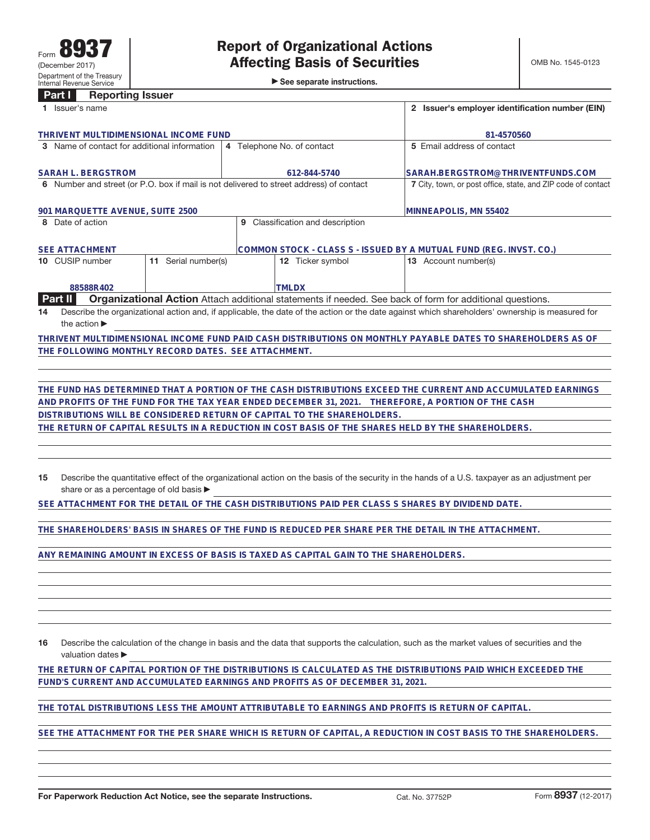►<br>► See separate instructions.

## **Part I Reporting Issuer**

| Issuer's name                                                                           |                                                                                                                 | Issuer's employer identification number (EIN)                                                                                                   |  |
|-----------------------------------------------------------------------------------------|-----------------------------------------------------------------------------------------------------------------|-------------------------------------------------------------------------------------------------------------------------------------------------|--|
| THRIVENT MULTIDIMENSIONAL INCOME FUND                                                   |                                                                                                                 | 81-4570560                                                                                                                                      |  |
| 3 Name of contact for additional information                                            | 4 Telephone No. of contact                                                                                      | 5 Email address of contact                                                                                                                      |  |
| <b>SARAH L. BERGSTROM</b>                                                               | 612-844-5740                                                                                                    | SARAH.BERGSTROM@THRIVENTFUNDS.COM                                                                                                               |  |
| 6 Number and street (or P.O. box if mail is not delivered to street address) of contact |                                                                                                                 | 7 City, town, or post office, state, and ZIP code of contact                                                                                    |  |
| 901 MARQUETTE AVENUE, SUITE 2500                                                        |                                                                                                                 | MINNEAPOLIS, MN 55402                                                                                                                           |  |
| 8 Date of action                                                                        | Classification and description<br>9                                                                             |                                                                                                                                                 |  |
| <b>SEE ATTACHMENT</b>                                                                   |                                                                                                                 | COMMON STOCK - CLASS S - ISSUED BY A MUTUAL FUND (REG. INVST. CO.)                                                                              |  |
| Serial number(s)<br>10 CUSIP number<br>11                                               | <b>12</b> Ticker symbol                                                                                         | <b>13</b> Account number(s)                                                                                                                     |  |
| 88588R402                                                                               | <b>TMLDX</b>                                                                                                    |                                                                                                                                                 |  |
| <b>Part II</b>                                                                          | <b>Organizational Action</b> Attach additional statements if needed. See back of form for additional questions. |                                                                                                                                                 |  |
| 14                                                                                      |                                                                                                                 | Describe the organizational action and, if applicable, the date of the action or the date against which shareholders' ownership is measured for |  |
| the action $\blacktriangleright$                                                        |                                                                                                                 |                                                                                                                                                 |  |

**THRIVENT MULTIDIMENSIONAL INCOME FUND PAID CASH DISTRIBUTIONS ON MONTHLY PAYABLE DATES TO SHAREHOLDERS AS OF THE FOLLOWING MONTHLY RECORD DATES. SEE ATTACHMENT.**

**THE FUND HAS DETERMINED THAT A PORTION OF THE CASH DISTRIBUTIONS EXCEED THE CURRENT AND ACCUMULATED EARNINGS AND PROFITS OF THE FUND FOR THE TAX YEAR ENDED DECEMBER 31, 2021. THEREFORE, A PORTION OF THE CASH DISTRIBUTIONS WILL BE CONSIDERED RETURN OF CAPITAL TO THE SHAREHOLDERS.**

**THE RETURN OF CAPITAL RESULTS IN A REDUCTION IN COST BASIS OF THE SHARES HELD BY THE SHAREHOLDERS.**

**15** Describe the quantitative effect of the organizational action on the basis of the security in the hands of a U.S. taxpayer as an adjustment per share or as a percentage of old basis  $\blacktriangleright$ 

**SEE ATTACHMENT FOR THE DETAIL OF THE CASH DISTRIBUTIONS PAID PER CLASS S SHARES BY DIVIDEND DATE.**

**THE SHAREHOLDERS' BASIS IN SHARES OF THE FUND IS REDUCED PER SHARE PER THE DETAIL IN THE ATTACHMENT.**

**ANY REMAINING AMOUNT IN EXCESS OF BASIS IS TAXED AS CAPITAL GAIN TO THE SHAREHOLDERS.**

**16** Describe the calculation of the change in basis and the data that supports the calculation, such as the market values of securities and the valuation dates  $\blacktriangleright$ 

**THE RETURN OF CAPITAL PORTION OF THE DISTRIBUTIONS IS CALCULATED AS THE DISTRIBUTIONS PAID WHICH EXCEEDED THE FUND'S CURRENT AND ACCUMULATED EARNINGS AND PROFITS AS OF DECEMBER 31, 2021.**

**THE TOTAL DISTRIBUTIONS LESS THE AMOUNT ATTRIBUTABLE TO EARNINGS AND PROFITS IS RETURN OF CAPITAL.**

**SEE THE ATTACHMENT FOR THE PER SHARE WHICH IS RETURN OF CAPITAL, A REDUCTION IN COST BASIS TO THE SHAREHOLDERS.**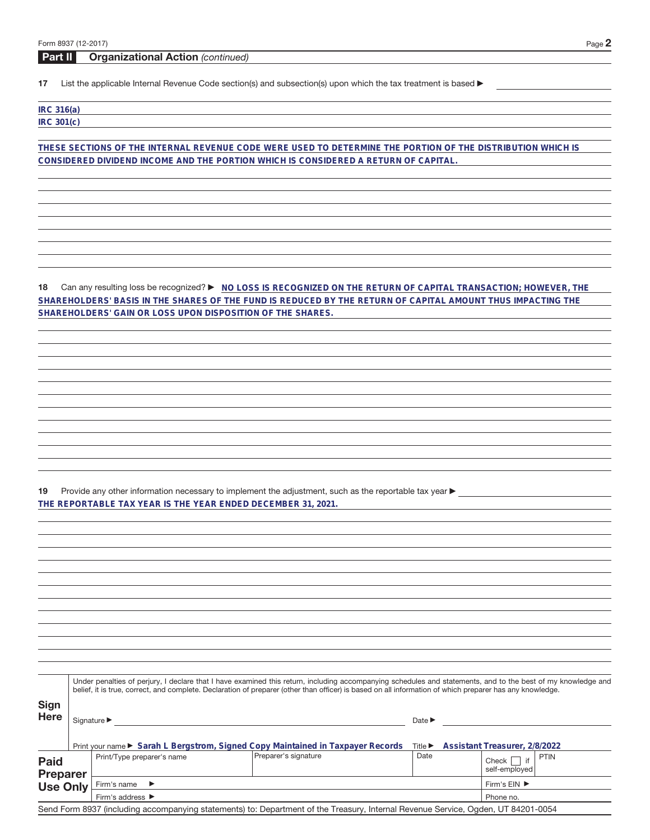**Part II Organizational Action** (continued)

17 List the applicable Internal Revenue Code section(s) and subsection(s) upon which the tax treatment is based  $\blacktriangleright$ 

| <b>IRC 316(a)</b> |  |
|-------------------|--|
| IRC 301(c)        |  |
|                   |  |

**THESE SECTIONS OF THE INTERNAL REVENUE CODE WERE USED TO DETERMINE THE PORTION OF THE DISTRIBUTION WHICH IS CONSIDERED DIVIDEND INCOME AND THE PORTION WHICH IS CONSIDERED A RETURN OF CAPITAL.**

18 Can any resulting loss be recognized?  $\triangleright$  NO LOSS IS RECOGNIZED ON THE RETURN OF CAPITAL TRANSACTION; HOWEVER, THE **SHAREHOLDERS' BASIS IN THE SHARES OF THE FUND IS REDUCED BY THE RETURN OF CAPITAL AMOUNT THUS IMPACTING THE SHAREHOLDERS' GAIN OR LOSS UPON DISPOSITION OF THE SHARES.**

19 Provide any other information necessary to implement the adjustment, such as the reportable tax year  $\blacktriangleright$ **THE REPORTABLE TAX YEAR IS THE YEAR ENDED DECEMBER 31, 2021.**

**Sign Here** Under penalties of perjury, I declare that I have examined this return, including accompanying schedules and statements, and to the best of my knowledge and belief, it is true, correct, and complete. Declaration of preparer (other than officer) is based on all information of which preparer has any knowledge. Signature  $\blacktriangleright$  Date  $\blacktriangleright$ Print your name ► Sarah L Bergstrom, Signed Copy Maintained in Taxpayer Records Title ► Assistant Treasurer, 2/8/2022 **Paid Preparer Use Only** Print/Type preparer's name Preparer's signature Date Date Check if self-employed PTIN Firm's name  $\blacktriangleright$ Firm's address  $\blacktriangleright$ Firm's  $EIN$ Phone no. Send Form 8937 (including accompanying statements) to: Department of the Treasury, Internal Revenue Service, Ogden, UT 84201-0054